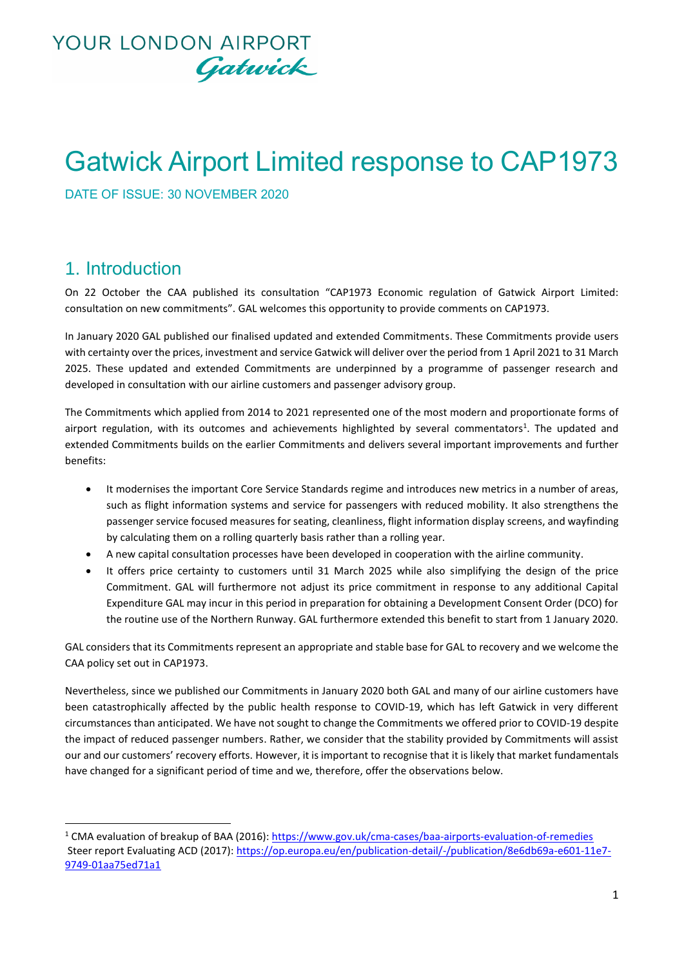# **YOUR LONDON AIRPORT** Gatwick

# Gatwick Airport Limited response to CAP1973

DATE OF ISSUE: 30 NOVEMBER 2020

#### 1. Introduction

On 22 October the CAA published its consultation "CAP1973 Economic regulation of Gatwick Airport Limited: consultation on new commitments". GAL welcomes this opportunity to provide comments on CAP1973.

In January 2020 GAL published our finalised updated and extended Commitments. These Commitments provide users with certainty over the prices, investment and service Gatwick will deliver over the period from 1 April 2021 to 31 March 2025. These updated and extended Commitments are underpinned by a programme of passenger research and developed in consultation with our airline customers and passenger advisory group.

The Commitments which applied from 2014 to 2021 represented one of the most modern and proportionate forms of airport regulation, with its outcomes and achievements highlighted by several commentators<sup>1</sup>. The updated and extended Commitments builds on the earlier Commitments and delivers several important improvements and further benefits:

- It modernises the important Core Service Standards regime and introduces new metrics in a number of areas, such as flight information systems and service for passengers with reduced mobility. It also strengthens the passenger service focused measures for seating, cleanliness, flight information display screens, and wayfinding by calculating them on a rolling quarterly basis rather than a rolling year.
- A new capital consultation processes have been developed in cooperation with the airline community.
- It offers price certainty to customers until 31 March 2025 while also simplifying the design of the price Commitment. GAL will furthermore not adjust its price commitment in response to any additional Capital Expenditure GAL may incur in this period in preparation for obtaining a Development Consent Order (DCO) for the routine use of the Northern Runway. GAL furthermore extended this benefit to start from 1 January 2020.

GAL considers that its Commitments represent an appropriate and stable base for GAL to recovery and we welcome the CAA policy set out in CAP1973.

Nevertheless, since we published our Commitments in January 2020 both GAL and many of our airline customers have been catastrophically affected by the public health response to COVID-19, which has left Gatwick in very different circumstances than anticipated. We have not sought to change the Commitments we offered prior to COVID-19 despite the impact of reduced passenger numbers. Rather, we consider that the stability provided by Commitments will assist our and our customers' recovery efforts. However, it is important to recognise that it is likely that market fundamentals have changed for a significant period of time and we, therefore, offer the observations below.

<sup>1</sup> CMA evaluation of breakup of BAA (2016):<https://www.gov.uk/cma-cases/baa-airports-evaluation-of-remedies> Steer report Evaluating ACD (2017): [https://op.europa.eu/en/publication-detail/-/publication/8e6db69a-e601-11e7-](https://op.europa.eu/en/publication-detail/-/publication/8e6db69a-e601-11e7-9749-01aa75ed71a1) [9749-01aa75ed71a1](https://op.europa.eu/en/publication-detail/-/publication/8e6db69a-e601-11e7-9749-01aa75ed71a1)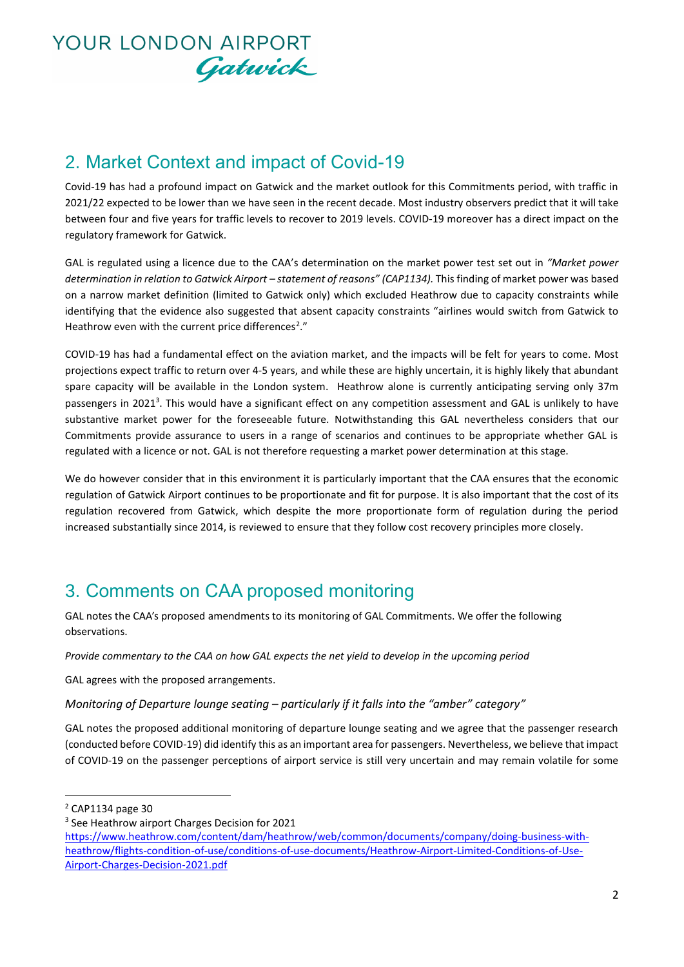

### 2. Market Context and impact of Covid-19

Covid-19 has had a profound impact on Gatwick and the market outlook for this Commitments period, with traffic in 2021/22 expected to be lower than we have seen in the recent decade. Most industry observers predict that it will take between four and five years for traffic levels to recover to 2019 levels. COVID-19 moreover has a direct impact on the regulatory framework for Gatwick.

GAL is regulated using a licence due to the CAA's determination on the market power test set out in *"Market power determination in relation to Gatwick Airport – statement of reasons" (CAP1134).* This finding of market power was based on a narrow market definition (limited to Gatwick only) which excluded Heathrow due to capacity constraints while identifying that the evidence also suggested that absent capacity constraints "airlines would switch from Gatwick to Heathrow even with the current price differences<sup>2</sup>."

COVID-19 has had a fundamental effect on the aviation market, and the impacts will be felt for years to come. Most projections expect traffic to return over 4-5 years, and while these are highly uncertain, it is highly likely that abundant spare capacity will be available in the London system. Heathrow alone is currently anticipating serving only 37m passengers in 2021<sup>3</sup>. This would have a significant effect on any competition assessment and GAL is unlikely to have substantive market power for the foreseeable future. Notwithstanding this GAL nevertheless considers that our Commitments provide assurance to users in a range of scenarios and continues to be appropriate whether GAL is regulated with a licence or not. GAL is not therefore requesting a market power determination at this stage.

We do however consider that in this environment it is particularly important that the CAA ensures that the economic regulation of Gatwick Airport continues to be proportionate and fit for purpose. It is also important that the cost of its regulation recovered from Gatwick, which despite the more proportionate form of regulation during the period increased substantially since 2014, is reviewed to ensure that they follow cost recovery principles more closely.

#### 3. Comments on CAA proposed monitoring

GAL notes the CAA's proposed amendments to its monitoring of GAL Commitments. We offer the following observations.

*Provide commentary to the CAA on how GAL expects the net yield to develop in the upcoming period*

GAL agrees with the proposed arrangements.

*Monitoring of Departure lounge seating – particularly if it falls into the "amber" category"*

GAL notes the proposed additional monitoring of departure lounge seating and we agree that the passenger research (conducted before COVID-19) did identify this as an important area for passengers. Nevertheless, we believe that impact of COVID-19 on the passenger perceptions of airport service is still very uncertain and may remain volatile for some

<sup>3</sup> See Heathrow airport Charges Decision for 2021

<sup>2</sup> CAP1134 page 30

[https://www.heathrow.com/content/dam/heathrow/web/common/documents/company/doing-business-with](https://www.heathrow.com/content/dam/heathrow/web/common/documents/company/doing-business-with-heathrow/flights-condition-of-use/conditions-of-use-documents/Heathrow-Airport-Limited-Conditions-of-Use-Airport-Charges-Decision-2021.pdf)[heathrow/flights-condition-of-use/conditions-of-use-documents/Heathrow-Airport-Limited-Conditions-of-Use-](https://www.heathrow.com/content/dam/heathrow/web/common/documents/company/doing-business-with-heathrow/flights-condition-of-use/conditions-of-use-documents/Heathrow-Airport-Limited-Conditions-of-Use-Airport-Charges-Decision-2021.pdf)[Airport-Charges-Decision-2021.pdf](https://www.heathrow.com/content/dam/heathrow/web/common/documents/company/doing-business-with-heathrow/flights-condition-of-use/conditions-of-use-documents/Heathrow-Airport-Limited-Conditions-of-Use-Airport-Charges-Decision-2021.pdf)